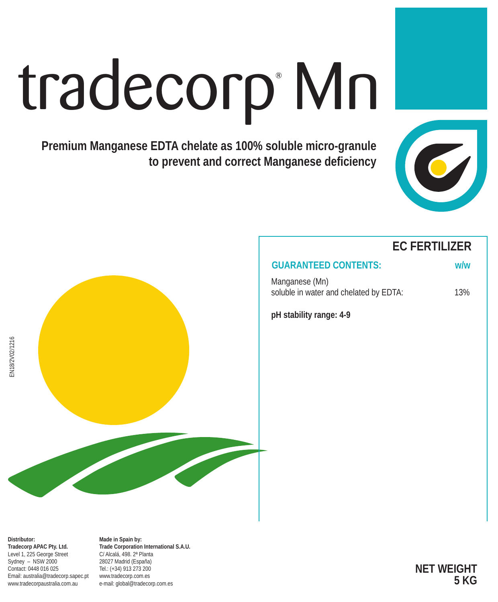# tradecorp Mn

**Premium Manganese EDTA chelate as 100% soluble micro-granule to prevent and correct Manganese deficiency**





### **EC FERTILIZER**

## **GUARANTEED CONTENTS: w/w**

Manganese (Mn) soluble in water and chelated by EDTA: 13%

**pH stability range: 4-9**

**Made in Spain by: Trade Corporation International S.A.U.** C/ Alcalá, 498. 2ª Planta 28027 Madrid (España) Tel.: (+34) 913 273 200 www.tradecorp.com.es e-mail: global@tradecorp.com.es

**NET WEIGHT 5 KG**